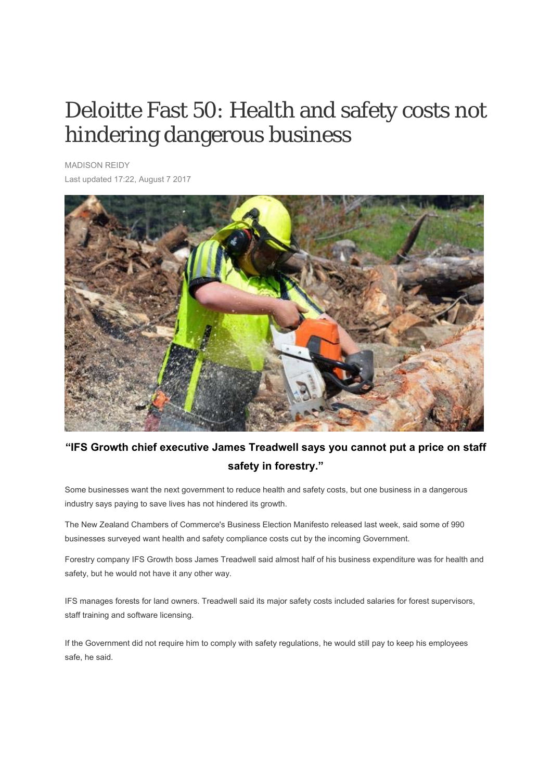## Deloitte Fast 50: Health and safety costs not hindering dangerous business

MADISON REIDY Last updated 17:22, August 7 2017



## **"IFS Growth chief executive James Treadwell says you cannot put a price on staff safety in forestry."**

Some businesses want the next government to reduce health and safety costs, but one business in a dangerous industry says paying to save lives has not hindered its growth.

The New Zealand Chambers of Commerce's Business Election Manifesto released last week, said some of 990 businesses surveyed want health and safety compliance costs cut by the incoming Government.

Forestry company IFS Growth boss James Treadwell said almost half of his business expenditure was for health and safety, but he would not have it any other way.

IFS manages forests for land owners. Treadwell said its major safety costs included salaries for forest supervisors, staff training and software licensing.

If the Government did not require him to comply with safety regulations, he would still pay to keep his employees safe, he said.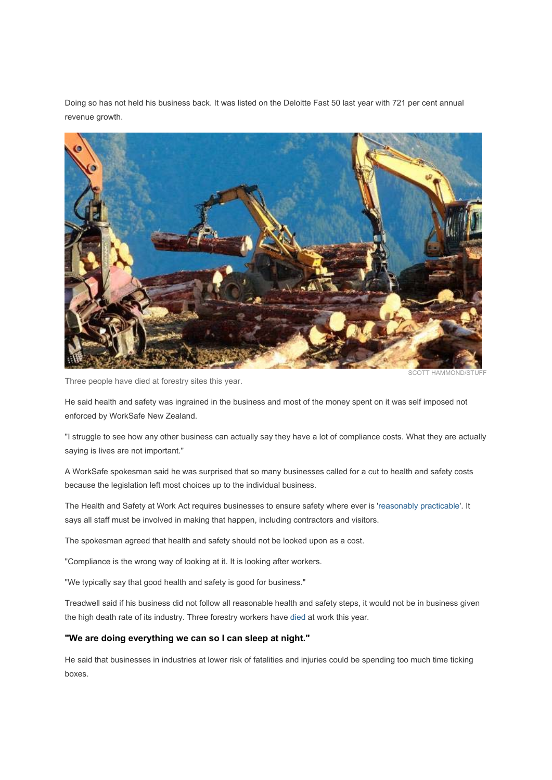Doing so has not held his business back. It was listed on the Deloitte Fast 50 last year with 721 per cent annual revenue growth.



Three people have died at forestry sites this year.

SCOTT HAMMOND/STUFF

He said health and safety was ingrained in the business and most of the money spent on it was self imposed not enforced by WorkSafe New Zealand.

"I struggle to see how any other business can actually say they have a lot of compliance costs. What they are actually saying is lives are not important."

A WorkSafe spokesman said he was surprised that so many businesses called for a cut to health and safety costs because the legislation left most choices up to the individual business.

The Health and Safety at Work Act requires businesses to ensure safety where ever is 'reasonably practicable'. It says all staff must be involved in making that happen, including contractors and visitors.

The spokesman agreed that health and safety should not be looked upon as a cost.

"Compliance is the wrong way of looking at it. It is looking after workers.

"We typically say that good health and safety is good for business."

Treadwell said if his business did not follow all reasonable health and safety steps, it would not be in business given the high death rate of its industry. Three forestry workers have died at work this year.

## **"We are doing everything we can so I can sleep at night."**

He said that businesses in industries at lower risk of fatalities and injuries could be spending too much time ticking boxes.